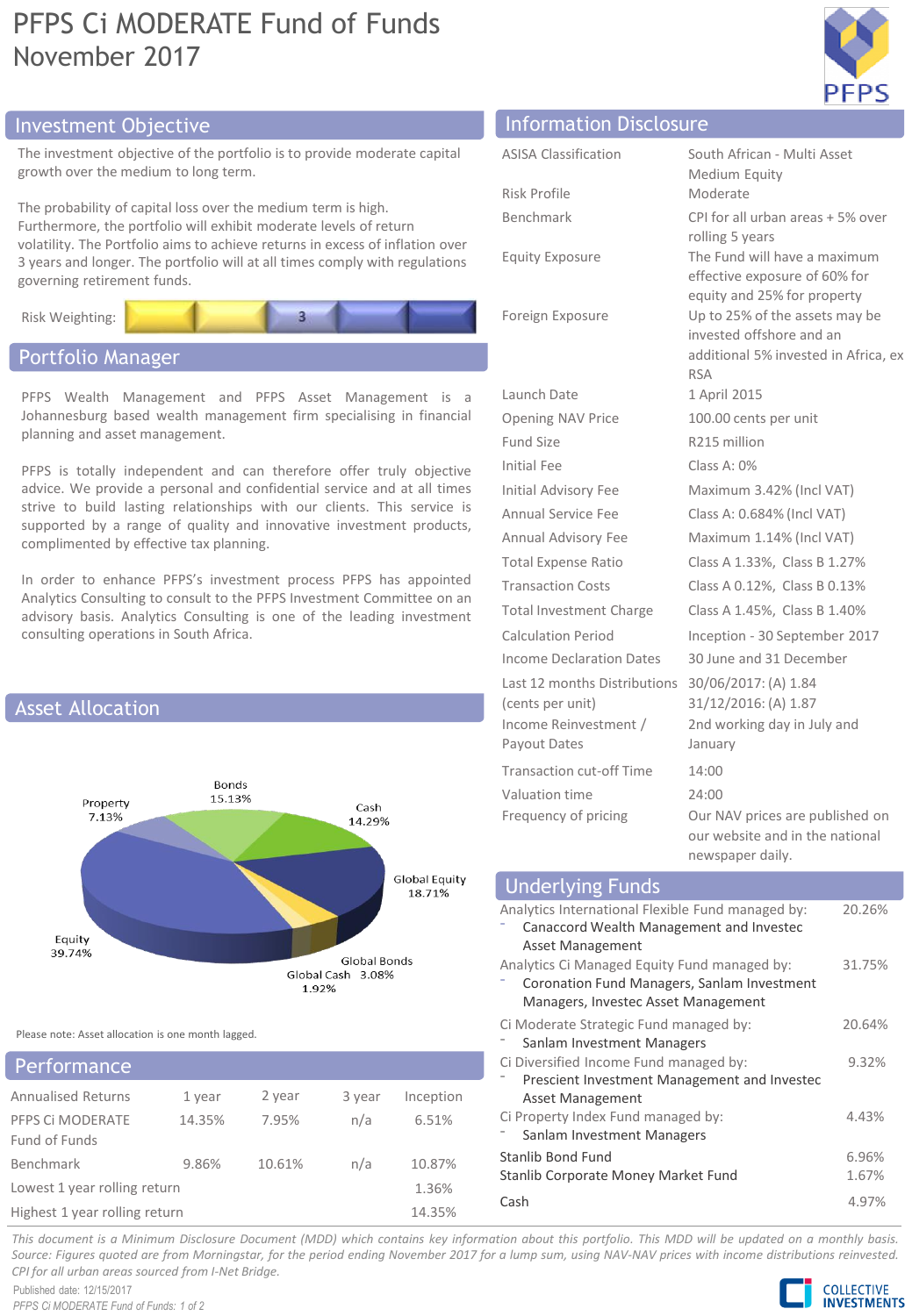# PFPS Ci MODERATE Fund of Funds November 2017



# Investment Objective Information Disclosure

The investment objective of the portfolio is to provide moderate capital growth over the medium to long term.

The probability of capital loss over the medium term is high. Furthermore, the portfolio will exhibit moderate levels of return volatility. The Portfolio aims to achieve returns in excess of inflation over 3 years and longer. The portfolio will at all times comply with regulations governing retirement funds.



# Portfolio Manager

PFPS Wealth Management and PFPS Asset Management is a Johannesburg based wealth management firm specialising in financial planning and asset management.

PFPS is totally independent and can therefore offer truly objective advice. We provide a personal and confidential service and at all times strive to build lasting relationships with our clients. This service is supported by a range of quality and innovative investment products, complimented by effective tax planning.

In order to enhance PFPS's investment process PFPS has appointed Analytics Consulting to consult to the PFPS Investment Committee on an advisory basis. Analytics Consulting is one of the leading investment consulting operations in South Africa.



Please note: Asset allocation is one month lagged.

| <b>Performance</b>                |                               |        |        |           |
|-----------------------------------|-------------------------------|--------|--------|-----------|
| <b>Annualised Returns</b>         | 1 year                        | 2 year | 3 year | Inception |
| PFPS CI MODERATE<br>Fund of Funds | 14.35%                        | 7.95%  | n/a    | 6.51%     |
| Benchmark                         | 9.86%                         | 10.61% | n/a    | 10.87%    |
| Lowest 1 year rolling return      |                               |        |        | 1.36%     |
|                                   | Highest 1 year rolling return |        |        | 14.35%    |

| <b>Information</b> Piscrosare   |                                                                                        |
|---------------------------------|----------------------------------------------------------------------------------------|
| <b>ASISA Classification</b>     | South African - Multi Asset                                                            |
|                                 | Medium Equity                                                                          |
| Risk Profile                    | Moderate                                                                               |
| Benchmark                       | CPI for all urban areas + 5% over                                                      |
|                                 | rolling 5 years                                                                        |
| <b>Equity Exposure</b>          | The Fund will have a maximum<br>effective exposure of 60% for                          |
|                                 | equity and 25% for property                                                            |
| Foreign Exposure                | Up to 25% of the assets may be                                                         |
|                                 | invested offshore and an                                                               |
|                                 | additional 5% invested in Africa, ex<br><b>RSA</b>                                     |
| Launch Date                     | 1 April 2015                                                                           |
| <b>Opening NAV Price</b>        | 100.00 cents per unit                                                                  |
| <b>Fund Size</b>                | R215 million                                                                           |
| <b>Initial Fee</b>              | Class A: 0%                                                                            |
| <b>Initial Advisory Fee</b>     | Maximum 3.42% (Incl VAT)                                                               |
| Annual Service Fee              | Class A: 0.684% (Incl VAT)                                                             |
| Annual Advisory Fee             | Maximum 1.14% (Incl VAT)                                                               |
| <b>Total Expense Ratio</b>      | Class A 1.33%, Class B 1.27%                                                           |
| <b>Transaction Costs</b>        | Class A 0.12%, Class B 0.13%                                                           |
| <b>Total Investment Charge</b>  | Class A 1.45%, Class B 1.40%                                                           |
| <b>Calculation Period</b>       | Inception - 30 September 2017                                                          |
| <b>Income Declaration Dates</b> | 30 June and 31 December                                                                |
| Last 12 months Distributions    | 30/06/2017: (A) 1.84                                                                   |
| (cents per unit)                | 31/12/2016: (A) 1.87                                                                   |
| Income Reinvestment /           | 2nd working day in July and                                                            |
| Payout Dates                    | January                                                                                |
| <b>Transaction cut-off Time</b> | 14:00                                                                                  |
| Valuation time                  | 24:00                                                                                  |
| Frequency of pricing            | Our NAV prices are published on<br>our website and in the national<br>newspaper daily. |

| <b>Underlying Funds</b>                           |        |
|---------------------------------------------------|--------|
| Analytics International Flexible Fund managed by: | 20.26% |
| Canaccord Wealth Management and Investec          |        |
| Asset Management                                  |        |
| Analytics Ci Managed Equity Fund managed by:      | 31.75% |
| Coronation Fund Managers, Sanlam Investment       |        |
| Managers, Investec Asset Management               |        |
| Ci Moderate Strategic Fund managed by:            | 20.64% |
| Sanlam Investment Managers                        |        |
| Ci Diversified Income Fund managed by:            | 9.32%  |
| Prescient Investment Management and Investec      |        |
| Asset Management                                  |        |
| Ci Property Index Fund managed by:                | 4.43%  |
| Sanlam Investment Managers                        |        |
| Stanlib Bond Fund                                 | 6.96%  |
| Stanlib Corporate Money Market Fund               | 1.67%  |
| Cash                                              | 4.97%  |

This document is a Minimum Disclosure Document (MDD) which contains key information about this portfolio. This MDD will be updated on a monthly basis. Source: Figures guoted are from Morningstar, for the period ending November 2017 for a lump sum, using NAV-NAV prices with income distributions reinvested. *CPI for all urban areas sourced from I-Net Bridge.*

Published date: 12/15/2017 *PFPS Ci MODERATE Fund of Funds: 1 of 2*